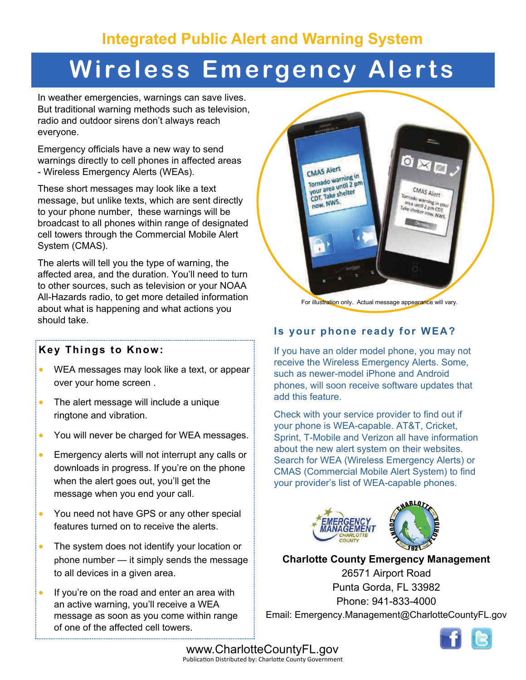# **Wireless Emergency Alerts**

In weather emergencies, warnings can save lives. But traditional warning methods such as television, radio and outdoor sirens don't always reach everyone.

Emergency officials have a new way to send warnings directly to cell phones in affected areas - Wireless Emergency Alerts (WEAs).

These short messages may look like a text message, but unlike texts, which are sent directly to your phone number, these warnings will be broadcast to all phones within range of designated cell towers through the Commercial Mobile Alert System (CMAS).

The alerts will tell you the type of warning, the affected area, and the duration. You'll need to turn to other sources, such as television or your NOAA All-Hazards radio, to get more detailed information about what is happening and what actions you should take.

#### **Key Things to Know:**

- WEA messages may look like a text, or appear over your home screen .
- The alert message will include a unique ringtone and vibration.
- You will never be charged for WEA messages.
- **Emergency alerts will not interrupt any calls or** downloads in progress. If you're on the phone when the alert goes out, you'll get the message when you end your call.
- You need not have GPS or any other special features turned on to receive the alerts.
- The system does not identify your location or phone number — it simply sends the message to all devices in a given area.
- If you're on the road and enter an area with an active warning, you'll receive a WEA message as soon as you come within range of one of the affected cell towers.



#### For illustration only. Actual message appearance will vary.

### **Is your phone ready for WEA?**

If you have an older model phone, you may not receive the Wireless Emergency Alerts. Some, such as newer-model iPhone and Android phones, will soon receive software updates that add this feature.

Check with your service provider to find out if your phone is WEA-capable. AT&T, Cricket, Sprint, T-Mobile and Verizon all have information about the new alert system on their websites. Search for WEA (Wireless Emergency Alerts) or CMAS (Commercial Mobile Alert System) to find your provider's list of WEA-capable phones.



#### **Charlotte County Emergency Management**

26571 Airport Road Punta Gorda, FL 33982 Phone: 941-833-4000 Email: Emergency.Management@CharlotteCountyFL.gov